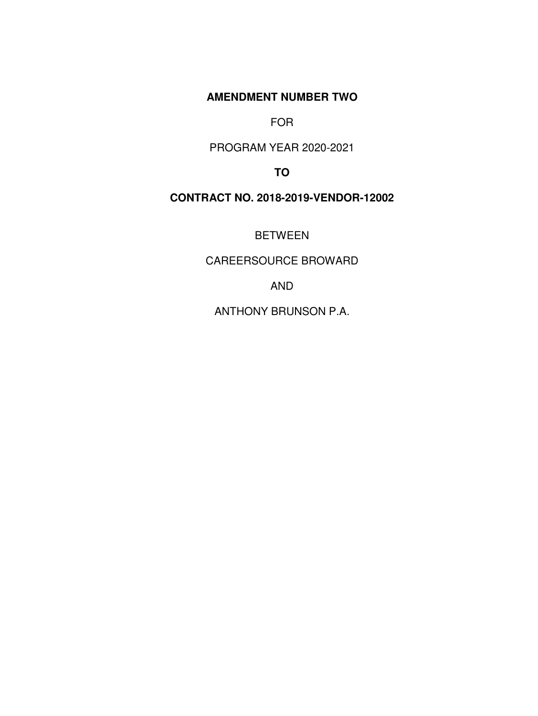**AMENDMENT NUMBER TWO** 

FOR

PROGRAM YEAR 2020-2021

**TO**

## **CONTRACT NO. 2018-2019-VENDOR-12002**

BETWEEN

CAREERSOURCE BROWARD

AND

ANTHONY BRUNSON P.A.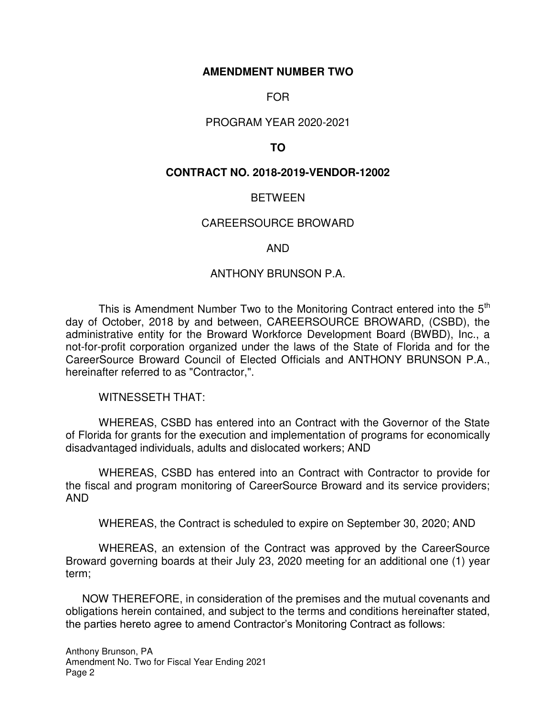## **AMENDMENT NUMBER TWO**

## FOR

## PROGRAM YEAR 2020-2021

## **TO**

## **CONTRACT NO. 2018-2019-VENDOR-12002**

## **BETWEEN**

## CAREERSOURCE BROWARD

## AND

## ANTHONY BRUNSON P.A.

This is Amendment Number Two to the Monitoring Contract entered into the  $5<sup>th</sup>$ day of October, 2018 by and between, CAREERSOURCE BROWARD, (CSBD), the administrative entity for the Broward Workforce Development Board (BWBD), Inc., a not-for-profit corporation organized under the laws of the State of Florida and for the CareerSource Broward Council of Elected Officials and ANTHONY BRUNSON P.A., hereinafter referred to as "Contractor,".

WITNESSETH THAT:

 WHEREAS, CSBD has entered into an Contract with the Governor of the State of Florida for grants for the execution and implementation of programs for economically disadvantaged individuals, adults and dislocated workers; AND

WHEREAS, CSBD has entered into an Contract with Contractor to provide for the fiscal and program monitoring of CareerSource Broward and its service providers; AND

WHEREAS, the Contract is scheduled to expire on September 30, 2020; AND

 WHEREAS, an extension of the Contract was approved by the CareerSource Broward governing boards at their July 23, 2020 meeting for an additional one (1) year term;

NOW THEREFORE, in consideration of the premises and the mutual covenants and obligations herein contained, and subject to the terms and conditions hereinafter stated, the parties hereto agree to amend Contractor's Monitoring Contract as follows: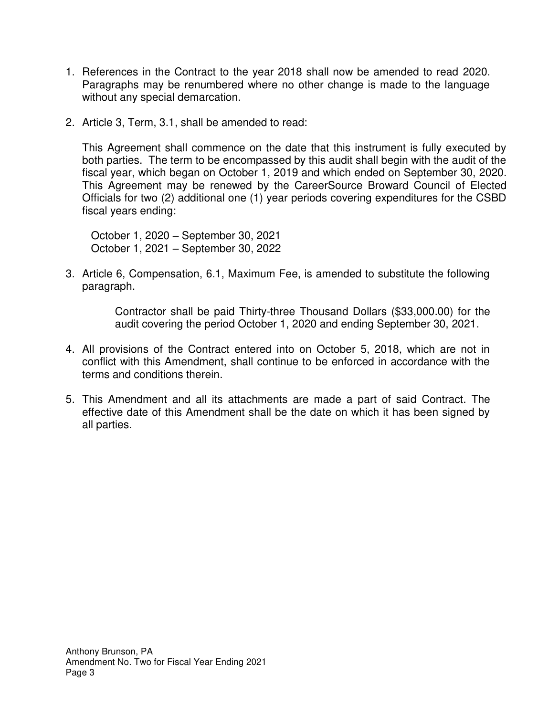- 1. References in the Contract to the year 2018 shall now be amended to read 2020. Paragraphs may be renumbered where no other change is made to the language without any special demarcation.
- 2. Article 3, Term, 3.1, shall be amended to read:

This Agreement shall commence on the date that this instrument is fully executed by both parties. The term to be encompassed by this audit shall begin with the audit of the fiscal year, which began on October 1, 2019 and which ended on September 30, 2020. This Agreement may be renewed by the CareerSource Broward Council of Elected Officials for two (2) additional one (1) year periods covering expenditures for the CSBD fiscal years ending:

October 1, 2020 – September 30, 2021 October 1, 2021 – September 30, 2022

3. Article 6, Compensation, 6.1, Maximum Fee, is amended to substitute the following paragraph.

> Contractor shall be paid Thirty-three Thousand Dollars (\$33,000.00) for the audit covering the period October 1, 2020 and ending September 30, 2021.

- 4. All provisions of the Contract entered into on October 5, 2018, which are not in conflict with this Amendment, shall continue to be enforced in accordance with the terms and conditions therein.
- 5. This Amendment and all its attachments are made a part of said Contract. The effective date of this Amendment shall be the date on which it has been signed by all parties.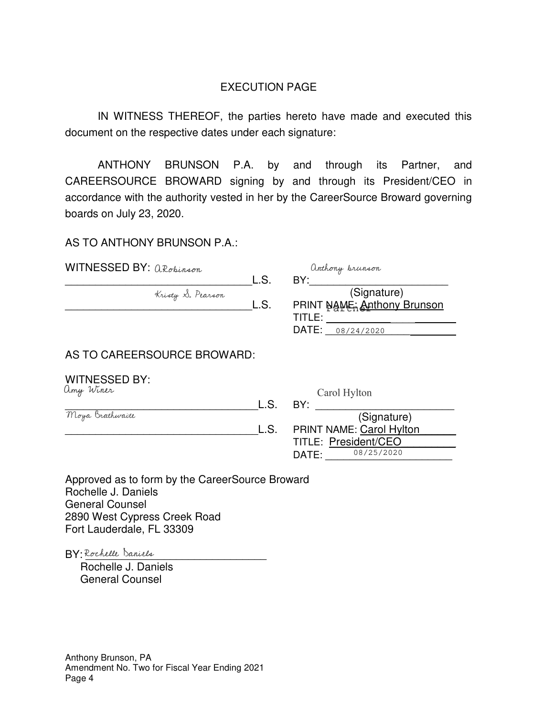## EXECUTION PAGE

IN WITNESS THEREOF, the parties hereto have made and executed this document on the respective dates under each signature:

ANTHONY BRUNSON P.A. by and through its Partner, and CAREERSOURCE BROWARD signing by and through its President/CEO in accordance with the authority vested in her by the CareerSource Broward governing boards on July 23, 2020.

AS TO ANTHONY BRUNSON P.A.:

| WITNESSED BY: aRobinson     |      | anthony brunson                 |
|-----------------------------|------|---------------------------------|
|                             | L.S. | BY:                             |
| Kristy S. Pearson           |      | (Signature)                     |
|                             | L.S. | PRINT NAME: Anthony Brunson     |
|                             |      | TITLE:                          |
|                             |      | DATE:<br>08/24/2020             |
| AS TO CAREERSOURCE BROWARD: |      |                                 |
| <b>WITNESSED BY:</b>        |      |                                 |
| amy Winer                   |      | Carol Hylton                    |
|                             | L.S. | BY:                             |
| Moya Brathwaite             |      | (Signature)                     |
|                             | L.S. | <b>PRINT NAME: Carol Hylton</b> |
|                             |      | TITLE: President/CEO            |
|                             |      | 08/25/2020<br>DATE:             |

Approved as to form by the CareerSource Broward Rochelle J. Daniels General Counsel 2890 West Cypress Creek Road Fort Lauderdale, FL 33309

BY: Rochelle Daniels

 Rochelle J. Daniels General Counsel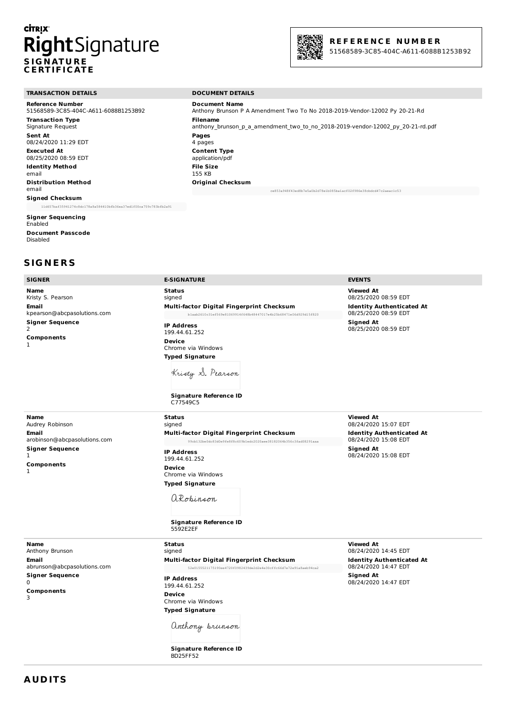## **CİTRIX** RightSignature **S IG N AT U R E C E RT IF I C AT E**



Anthony Brunson P A Amendment Two To No 2018-2019-Vendor-12002 Py 20-21-Rd

anthony\_brunson\_p\_a\_amendment\_two\_to\_no\_2018-2019-vendor-12002\_py\_20-21-rd.pdf

ce853a948f43ed8b7e5a0b2d78e1b085ba1acf02f986e38cbdcd47c2aeac1c53

51568589-3C85-404C-A611-6088B1253B92

#### **TRANSACTION DETAILS DOCUMENT DETAILS**

**Reference Number** 51568589-3C85-404C-A611-6088B1253B92 **Transaction Type** Signature Request **Sent At** 08/24/2020 11:29 EDT **Executed At** 08/25/2020 08:59 EDT **Identity Method** email **Distribution Method** email **Signed Checksum**

#### 11d657baf35941274c8dc178a8a584410bfb36ea37ed1f00ca759c783bfb2a91

**Signer Sequencing** Enabled **Document Passcode** Disabled

## **S IG N E R S**

| <b>Name</b><br>Kristy S. Pearson<br>Email<br>kpearson@abcpasolutions.com<br><b>Signer Sequence</b><br>2<br>Components<br>1    | <b>Status</b><br>signed<br>Multi-factor Digital Fingerprint Checksum<br>blaab2610c31ef569e81069914f648b48447017e4b25b68471e06d929d15f820<br><b>IP Address</b><br>199.44.61.252<br><b>Device</b><br>Chrome via Windows<br><b>Typed Signature</b><br>Kristy S. Pearson<br><b>Signature Reference ID</b><br>C77549C5 | <b>Viewed At</b><br>08/25/2020 08:59 EDT<br><b>Identity Authenticated At</b><br>08/25/2020 08:59 EDT<br><b>Signed At</b><br>08/25/2020 08:59 EDT |
|-------------------------------------------------------------------------------------------------------------------------------|-------------------------------------------------------------------------------------------------------------------------------------------------------------------------------------------------------------------------------------------------------------------------------------------------------------------|--------------------------------------------------------------------------------------------------------------------------------------------------|
| Name<br>Audrey Robinson<br>Email<br>arobinson@abcpasolutions.com<br><b>Signer Sequence</b><br>$\mathbf{1}$<br>Components<br>1 | <b>Status</b><br>signed<br>Multi-factor Digital Fingerprint Checksum<br>99cb132be0dc83d0e9fe8f8c609b1edc2020aee38182064b356c3fad08291aaa<br><b>IP Address</b><br>199.44.61.252<br><b>Device</b><br>Chrome via Windows<br><b>Typed Signature</b><br>aRobinson<br><b>Signature Reference ID</b><br>5592E2EF         | <b>Viewed At</b><br>08/24/2020 15:07 EDT<br><b>Identity Authenticated At</b><br>08/24/2020 15:08 EDT<br><b>Signed At</b><br>08/24/2020 15:08 EDT |
| Name<br>Anthony Brunson<br>Email<br>abrunson@abcpasolutions.com<br><b>Signer Sequence</b><br>$\Omega$<br>Components<br>3      | <b>Status</b><br>signed<br>Multi-factor Digital Fingerprint Checksum<br>52e0155521175190ee4720f0982439de2d2e4e30cffc66d7e72e91a8aeb94ca2<br><b>IP Address</b><br>199.44.61.252<br><b>Device</b><br>Chrome via Windows<br><b>Typed Signature</b>                                                                   | <b>Viewed At</b><br>08/24/2020 14:45 EDT<br><b>Identity Authenticated At</b><br>08/24/2020 14:47 EDT<br><b>Signed At</b><br>08/24/2020 14:47 EDT |

**Document Name**

**Original Checksum**

**Filename**

**Pages** 4 pages **Content Type** application/pdf **File Size** 155 KB

**SIGNER E-SIGNATURE EVENTS**

**Signature Reference ID** BD25FF52

anthony brunson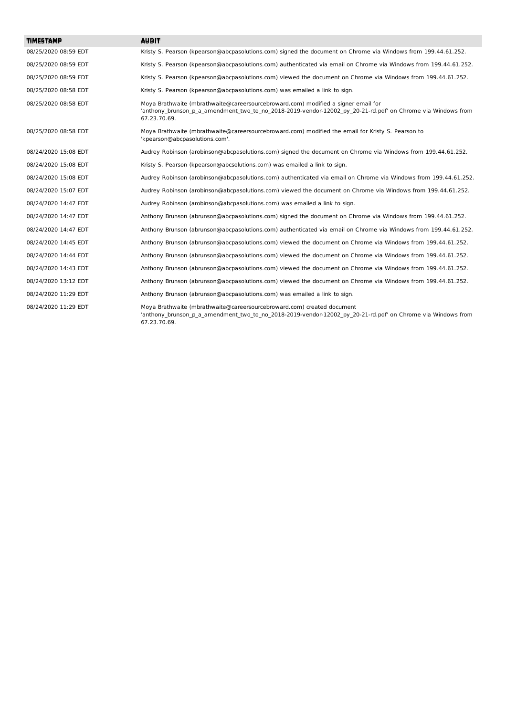| <b>TIMESTAMP</b>     | <b>AUBIT</b>                                                                                                                                                                                                     |
|----------------------|------------------------------------------------------------------------------------------------------------------------------------------------------------------------------------------------------------------|
|                      |                                                                                                                                                                                                                  |
| 08/25/2020 08:59 EDT | Kristy S. Pearson (kpearson@abcpasolutions.com) signed the document on Chrome via Windows from 199.44.61.252.                                                                                                    |
| 08/25/2020 08:59 EDT | Kristy S. Pearson (kpearson@abcpasolutions.com) authenticated via email on Chrome via Windows from 199.44.61.252.                                                                                                |
| 08/25/2020 08:59 EDT | Kristy S. Pearson (kpearson@abcpasolutions.com) viewed the document on Chrome via Windows from 199.44.61.252.                                                                                                    |
| 08/25/2020 08:58 EDT | Kristy S. Pearson (kpearson@abcpasolutions.com) was emailed a link to sign.                                                                                                                                      |
| 08/25/2020 08:58 EDT | Moya Brathwaite (mbrathwaite@careersourcebroward.com) modified a signer email for<br>'anthony brunson p a amendment two to no 2018-2019-vendor-12002 py 20-21-rd.pdf' on Chrome via Windows from<br>67.23.70.69. |
| 08/25/2020 08:58 EDT | Moya Brathwaite (mbrathwaite@careersourcebroward.com) modified the email for Kristy S. Pearson to<br>'kpearson@abcpasolutions.com'.                                                                              |
| 08/24/2020 15:08 EDT | Audrey Robinson (arobinson@abcpasolutions.com) signed the document on Chrome via Windows from 199.44.61.252.                                                                                                     |
| 08/24/2020 15:08 EDT | Kristy S. Pearson (kpearson@abcsolutions.com) was emailed a link to sign.                                                                                                                                        |
| 08/24/2020 15:08 EDT | Audrey Robinson (arobinson@abcpasolutions.com) authenticated via email on Chrome via Windows from 199.44.61.252.                                                                                                 |
| 08/24/2020 15:07 EDT | Audrey Robinson (arobinson@abcpasolutions.com) viewed the document on Chrome via Windows from 199.44.61.252.                                                                                                     |
| 08/24/2020 14:47 EDT | Audrey Robinson (arobinson@abcpasolutions.com) was emailed a link to sign.                                                                                                                                       |
| 08/24/2020 14:47 EDT | Anthony Brunson (abrunson@abcpasolutions.com) signed the document on Chrome via Windows from 199.44.61.252.                                                                                                      |
| 08/24/2020 14:47 EDT | Anthony Brunson (abrunson@abcpasolutions.com) authenticated via email on Chrome via Windows from 199.44.61.252.                                                                                                  |
| 08/24/2020 14:45 EDT | Anthony Brunson (abrunson@abcpasolutions.com) viewed the document on Chrome via Windows from 199.44.61.252.                                                                                                      |
| 08/24/2020 14:44 EDT | Anthony Brunson (abrunson@abcpasolutions.com) viewed the document on Chrome via Windows from 199.44.61.252.                                                                                                      |
| 08/24/2020 14:43 EDT | Anthony Brunson (abrunson@abcpasolutions.com) viewed the document on Chrome via Windows from 199.44.61.252.                                                                                                      |
| 08/24/2020 13:12 EDT | Anthony Brunson (abrunson@abcpasolutions.com) viewed the document on Chrome via Windows from 199.44.61.252.                                                                                                      |
| 08/24/2020 11:29 EDT | Anthony Brunson (abrunson@abcpasolutions.com) was emailed a link to sign.                                                                                                                                        |
| 08/24/2020 11:29 EDT | Moya Brathwaite (mbrathwaite@careersourcebroward.com) created document<br>'anthony brunson p a amendment two to no 2018-2019-vendor-12002 py 20-21-rd.pdf' on Chrome via Windows from<br>67.23.70.69.            |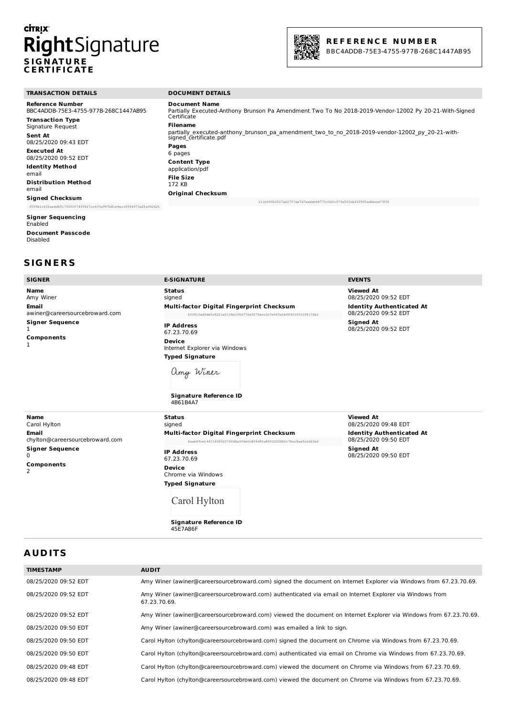# **CİTRIX S IG N AT U R E C E RT IF I C AT E**



| <b>TRANSACTION DETAILS</b>                                       | <b>DOCUMENT DETAILS</b>                                                                                                                      |  |
|------------------------------------------------------------------|----------------------------------------------------------------------------------------------------------------------------------------------|--|
| <b>Reference Number</b><br>BBC4ADDB-75E3-4755-977B-268C1447AB95  | <b>Document Name</b><br>Partially Executed-Anthony Brunson Pa Amendment Two To No 2018-2019-Vendor-12002 Py 20-21-With-Signed<br>Certificate |  |
| <b>Transaction Type</b><br>Signature Request                     | <b>Filename</b>                                                                                                                              |  |
| <b>Sent At</b><br>08/25/2020 09:43 EDT                           | partially executed-anthony brunson pa amendment two to no 2018-2019-vendor-12002 py 20-21-with-<br>signed certificate.pdf                    |  |
| <b>Executed At</b><br>08/25/2020 09:52 EDT                       | Pages<br>6 pages                                                                                                                             |  |
| <b>Identity Method</b><br>email                                  | <b>Content Type</b><br>application/pdf                                                                                                       |  |
| <b>Distribution Method</b><br>email                              | File Size<br>172 KB                                                                                                                          |  |
| <b>Signed Checksum</b>                                           | <b>Original Checksum</b>                                                                                                                     |  |
| f599b1c632aedd691790f0f74f9667cc639a947b81e4ec18984973a2fa442621 | 211b96924527ab2757ae7d7eabbb88772c04fc979e5f1bb2f6990adbbce07856                                                                             |  |

#### **Signer Sequencing**

Enabled **Document Passcode** Disabled

### **S IG N E R S**

| <b>SIGNER</b>                                                                                     | <b>E-SIGNATURE</b>                                                                                                                                         | <b>EVENTS</b>                                            |
|---------------------------------------------------------------------------------------------------|------------------------------------------------------------------------------------------------------------------------------------------------------------|----------------------------------------------------------|
| <b>Name</b><br>Amy Winer                                                                          | <b>Status</b><br>signed                                                                                                                                    | <b>Viewed At</b><br>08/25/2020 09:52 EDT                 |
| <b>Email</b><br>awiner@careersourcebroward.com                                                    | Multi-factor Digital Fingerprint Checksum<br>6ff810ad5de5c6221a0118a196d776e5570acc3c7e6f5a1b904f1f50198172b1                                              | <b>Identity Authenticated At</b><br>08/25/2020 09:52 EDT |
| <b>Signer Sequence</b><br>1<br>Components                                                         | <b>IP Address</b><br>67.23.70.69<br><b>Device</b><br>Internet Explorer via Windows<br><b>Typed Signature</b><br>amy Winer<br><b>Signature Reference ID</b> | <b>Signed At</b><br>08/25/2020 09:52 EDT                 |
|                                                                                                   | 4B61B4A7                                                                                                                                                   |                                                          |
| <b>Name</b><br>Carol Hylton                                                                       | <b>Status</b><br>signed                                                                                                                                    | <b>Viewed At</b><br>08/25/2020 09:48 EDT                 |
| <b>Email</b><br>chylton@careersourcebroward.com<br><b>Signer Sequence</b><br>0<br>Components<br>2 | Multi-factor Digital Fingerprint Checksum<br>6aab89ce14431f6802276048a3f4e0c8f4d90a8f00202fb5c78ac8aa0c2d23e2                                              | <b>Identity Authenticated At</b><br>08/25/2020 09:50 EDT |
|                                                                                                   | <b>IP Address</b><br>67.23.70.69                                                                                                                           | <b>Signed At</b><br>08/25/2020 09:50 EDT                 |
|                                                                                                   | <b>Device</b><br>Chrome via Windows                                                                                                                        |                                                          |
|                                                                                                   | <b>Typed Signature</b>                                                                                                                                     |                                                          |

Carol Hylton

**Signature Reference ID** 45E7A86F

### **A UD ITS**

| <b>TIMESTAMP</b>     | <b>AUDIT</b>                                                                                                             |
|----------------------|--------------------------------------------------------------------------------------------------------------------------|
| 08/25/2020 09:52 EDT | Amy Winer (awiner@careersourcebroward.com) signed the document on Internet Explorer via Windows from 67.23.70.69.        |
| 08/25/2020 09:52 EDT | Amy Winer (awiner@careersourcebroward.com) authenticated via email on Internet Explorer via Windows from<br>67.23.70.69. |
| 08/25/2020 09:52 EDT | Amy Winer (awiner@careersourcebroward.com) viewed the document on Internet Explorer via Windows from 67.23.70.69.        |
| 08/25/2020 09:50 EDT | Amy Winer (awiner@careersourcebroward.com) was emailed a link to sign.                                                   |
| 08/25/2020 09:50 EDT | Carol Hylton (chylton@careersourcebroward.com) signed the document on Chrome via Windows from 67.23.70.69.               |
| 08/25/2020 09:50 EDT | Carol Hylton (chylton@careersourcebroward.com) authenticated via email on Chrome via Windows from 67.23.70.69.           |
| 08/25/2020 09:48 EDT | Carol Hylton (chylton@careersourcebroward.com) viewed the document on Chrome via Windows from 67.23.70.69.               |
| 08/25/2020 09:48 EDT | Carol Hylton (chylton@careersourcebroward.com) viewed the document on Chrome via Windows from 67.23.70.69.               |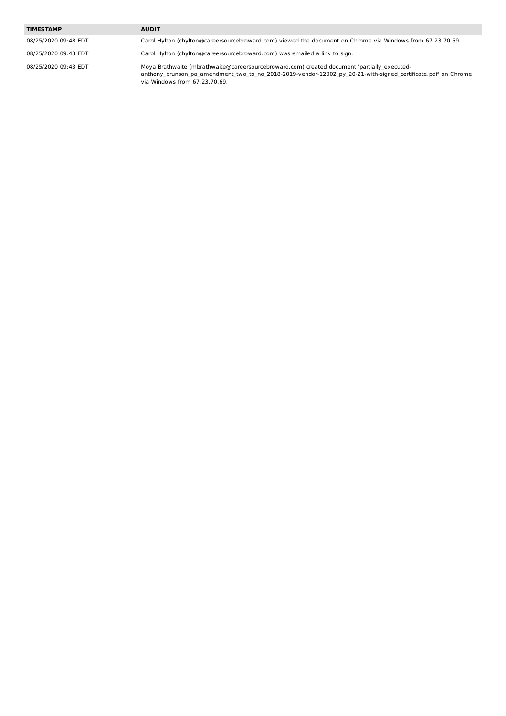#### **TIMESTAMP AUDIT**

08/25/2020 09:48 EDT Carol Hylton (chylton@careersourcebroward.com) viewed the document on Chrome via Windows from 67.23.70.69.

08/25/2020 09:43 EDT Carol Hylton (chylton@careersourcebroward.com) was emailed a link to sign.

08/25/2020 09:43 EDT Moya Brathwaite (mbrathwaite@careersourcebroward.com) created document 'partially\_executedanthony\_brunson\_pa\_amendment\_two\_to\_no\_2018-2019-vendor-12002\_py\_20-21-with-signed\_certificate.pdf' on Chrome via Windows from 67.23.70.69.